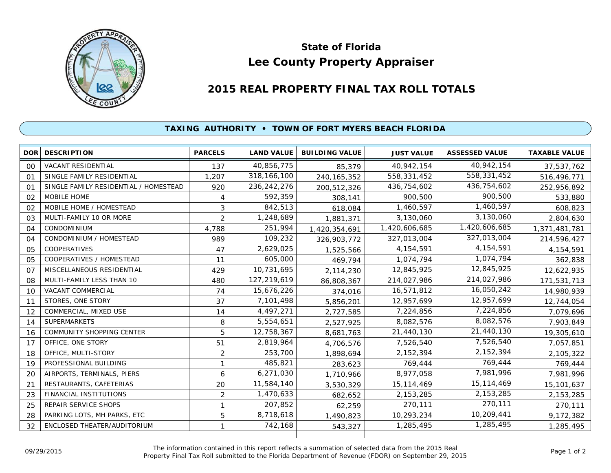

## **Lee County Property Appraiser State of Florida**

## **2015 REAL PROPERTY FINAL TAX ROLL TOTALS**

## **TAXING AUTHORITY • TOWN OF FORT MYERS BEACH FLORIDA**

|                | <b>DOR DESCRIPTION</b>                | <b>PARCELS</b> | <b>LAND VALUE</b> | <b>BUILDING VALUE</b> | <b>JUST VALUE</b> | <b>ASSESSED VALUE</b> | <b>TAXABLE VALUE</b> |
|----------------|---------------------------------------|----------------|-------------------|-----------------------|-------------------|-----------------------|----------------------|
| 00             | VACANT RESIDENTIAL                    | 137            | 40,856,775        | 85,379                | 40,942,154        | 40,942,154            | 37,537,762           |
| 01             | SINGLE FAMILY RESIDENTIAL             | 1,207          | 318, 166, 100     | 240, 165, 352         | 558,331,452       | 558,331,452           | 516,496,771          |
| O <sub>1</sub> | SINGLE FAMILY RESIDENTIAL / HOMESTEAD | 920            | 236, 242, 276     | 200,512,326           | 436,754,602       | 436,754,602           | 252,956,892          |
| 02             | MOBILE HOME                           | 4              | 592,359           | 308,141               | 900,500           | 900,500               | 533,880              |
| 02             | MOBILE HOME / HOMESTEAD               | 3              | 842,513           | 618,084               | 1,460,597         | 1,460,597             | 608,823              |
| 03             | MULTI-FAMILY 10 OR MORE               | $\overline{2}$ | 1,248,689         | 1,881,371             | 3,130,060         | 3,130,060             | 2,804,630            |
| 04             | <b>CONDOMINIUM</b>                    | 4,788          | 251,994           | 1,420,354,691         | 1,420,606,685     | 1,420,606,685         | 1,371,481,781        |
| 04             | CONDOMINIUM / HOMESTEAD               | 989            | 109,232           | 326,903,772           | 327,013,004       | 327,013,004           | 214,596,427          |
| 05             | COOPERATIVES                          | 47             | 2,629,025         | 1,525,566             | 4,154,591         | 4,154,591             | 4,154,591            |
| 05             | COOPERATIVES / HOMESTEAD              | 11             | 605,000           | 469,794               | 1,074,794         | 1,074,794             | 362,838              |
| 07             | MISCELLANEOUS RESIDENTIAL             | 429            | 10,731,695        | 2,114,230             | 12,845,925        | 12,845,925            | 12,622,935           |
| 08             | MULTI-FAMILY LESS THAN 10             | 480            | 127,219,619       | 86,808,367            | 214,027,986       | 214,027,986           | 171,531,713          |
| 10             | VACANT COMMERCIAL                     | 74             | 15,676,226        | 374,016               | 16,571,812        | 16,050,242            | 14,980,939           |
| 11             | STORES, ONE STORY                     | 37             | 7,101,498         | 5,856,201             | 12,957,699        | 12,957,699            | 12,744,054           |
| 12             | COMMERCIAL, MIXED USE                 | 14             | 4,497,271         | 2,727,585             | 7,224,856         | 7,224,856             | 7,079,696            |
| 14             | <b>SUPERMARKETS</b>                   | 8              | 5,554,651         | 2,527,925             | 8,082,576         | 8,082,576             | 7,903,849            |
| 16             | <b>COMMUNITY SHOPPING CENTER</b>      | 5              | 12,758,367        | 8,681,763             | 21,440,130        | 21,440,130            | 19,305,610           |
| 17             | OFFICE, ONE STORY                     | 51             | 2,819,964         | 4,706,576             | 7,526,540         | 7,526,540             | 7,057,851            |
| 18             | OFFICE, MULTI-STORY                   | 2              | 253,700           | 1,898,694             | 2,152,394         | 2, 152, 394           | 2,105,322            |
| 19             | PROFESSIONAL BUILDING                 | 1              | 485,821           | 283,623               | 769,444           | 769,444               | 769,444              |
| 20             | AIRPORTS, TERMINALS, PIERS            | 6              | 6,271,030         | 1,710,966             | 8,977,058         | 7,981,996             | 7,981,996            |
| 21             | RESTAURANTS, CAFETERIAS               | 20             | 11,584,140        | 3,530,329             | 15, 114, 469      | 15, 114, 469          | 15,101,637           |
| 23             | FINANCIAL INSTITUTIONS                | $\overline{2}$ | 1,470,633         | 682,652               | 2, 153, 285       | 2, 153, 285           | 2, 153, 285          |
| 25             | <b>REPAIR SERVICE SHOPS</b>           | 1              | 207,852           | 62,259                | 270,111           | 270,111               | 270,111              |
| 28             | PARKING LOTS, MH PARKS, ETC           | 5              | 8,718,618         | 1,490,823             | 10,293,234        | 10,209,441            | 9,172,382            |
| 32             | ENCLOSED THEATER/AUDITORIUM           | 1              | 742,168           | 543,327               | 1,285,495         | 1,285,495             | 1,285,495            |
|                |                                       |                |                   |                       |                   |                       |                      |

The information contained in this report reflects a summation of selected data from the 2015 Real Ine information contained in this report reflects a summation of selected data from the 2015 Real<br>Property Final Tax Roll submitted to the Florida Department of Revenue (FDOR) on September 29, 2015